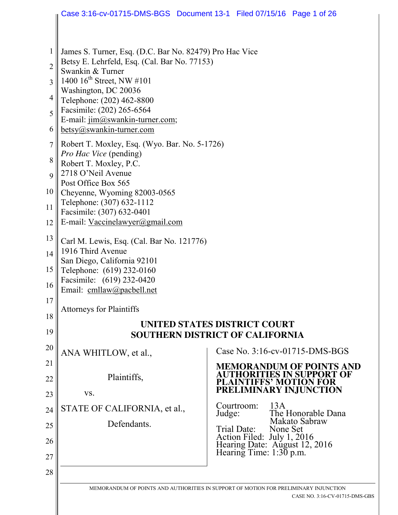|                | Case 3:16-cv-01715-DMS-BGS  Document 13-1  Filed 07/15/16  Page 1 of 26                                                                                                                                                                                                     |        |                                                                                        |                                                                     |
|----------------|-----------------------------------------------------------------------------------------------------------------------------------------------------------------------------------------------------------------------------------------------------------------------------|--------|----------------------------------------------------------------------------------------|---------------------------------------------------------------------|
|                |                                                                                                                                                                                                                                                                             |        |                                                                                        |                                                                     |
|                |                                                                                                                                                                                                                                                                             |        |                                                                                        |                                                                     |
| $\mathbf{1}$   | James S. Turner, Esq. (D.C. Bar No. 82479) Pro Hac Vice<br>Betsy E. Lehrfeld, Esq. (Cal. Bar No. 77153)                                                                                                                                                                     |        |                                                                                        |                                                                     |
| $\overline{c}$ | Swankin & Turner                                                                                                                                                                                                                                                            |        |                                                                                        |                                                                     |
| 3              | 1400 $16^{th}$ Street, NW #101<br>Washington, DC 20036                                                                                                                                                                                                                      |        |                                                                                        |                                                                     |
| $\overline{4}$ | Telephone: (202) 462-8800                                                                                                                                                                                                                                                   |        |                                                                                        |                                                                     |
| 5              | Facsimile: (202) 265-6564<br>E-mail: jim@swankin-turner.com;                                                                                                                                                                                                                |        |                                                                                        |                                                                     |
| 6              | betsy@swankin-turner.com                                                                                                                                                                                                                                                    |        |                                                                                        |                                                                     |
| $\overline{7}$ | Robert T. Moxley, Esq. (Wyo. Bar. No. 5-1726)<br>Pro Hac Vice (pending)<br>Robert T. Moxley, P.C.<br>2718 O'Neil Avenue<br>Post Office Box 565<br>Cheyenne, Wyoming 82003-0565<br>Telephone: (307) 632-1112<br>Facsimile: (307) 632-0401<br>E-mail: Vaccinelawyer@gmail.com |        |                                                                                        |                                                                     |
| 8              |                                                                                                                                                                                                                                                                             |        |                                                                                        |                                                                     |
| 9              |                                                                                                                                                                                                                                                                             |        |                                                                                        |                                                                     |
| 10             |                                                                                                                                                                                                                                                                             |        |                                                                                        |                                                                     |
| 11             |                                                                                                                                                                                                                                                                             |        |                                                                                        |                                                                     |
| 12             |                                                                                                                                                                                                                                                                             |        |                                                                                        |                                                                     |
| 13             | Carl M. Lewis, Esq. (Cal. Bar No. 121776)<br>1916 Third Avenue<br>San Diego, California 92101<br>Telephone: (619) 232-0160<br>Facsimile: (619) 232-0420<br>Email: cmllaw@pacbell.net                                                                                        |        |                                                                                        |                                                                     |
| 14             |                                                                                                                                                                                                                                                                             |        |                                                                                        |                                                                     |
| 15             |                                                                                                                                                                                                                                                                             |        |                                                                                        |                                                                     |
| 16             |                                                                                                                                                                                                                                                                             |        |                                                                                        |                                                                     |
| 17             |                                                                                                                                                                                                                                                                             |        |                                                                                        |                                                                     |
|                | <b>Attorneys for Plaintiffs</b>                                                                                                                                                                                                                                             |        |                                                                                        |                                                                     |
| 18             | UNITED STATES DISTRICT COURT                                                                                                                                                                                                                                                |        |                                                                                        |                                                                     |
| 19             | SOUTHERN DISTRICT OF CALIFORNIA                                                                                                                                                                                                                                             |        |                                                                                        |                                                                     |
| 20             | ANA WHITLOW, et al.,                                                                                                                                                                                                                                                        |        |                                                                                        | Case No. 3:16-cv-01715-DMS-BGS                                      |
| 21             |                                                                                                                                                                                                                                                                             |        |                                                                                        | <b>MEMORANDUM OF POINTS AND</b><br><b>AUTHORITIES IN SUPPORT OF</b> |
| 22             | Plaintiffs,                                                                                                                                                                                                                                                                 |        | <b>PLAINTIFFS' MOTION FOR</b>                                                          |                                                                     |
| 23             | VS.                                                                                                                                                                                                                                                                         |        | PRELIMINARY INJUNCTION                                                                 |                                                                     |
| 24             | STATE OF CALIFORNIA, et al.,                                                                                                                                                                                                                                                | Judge: | 13A<br>Courtroom:                                                                      | The Honorable Dana                                                  |
| 25             | Defendants.                                                                                                                                                                                                                                                                 |        | Makato Sabraw<br>Trial Date:<br>None Set                                               |                                                                     |
| 26             |                                                                                                                                                                                                                                                                             |        | Action Filed: July 1, 2016<br>Hearing Date: August 12, 2016<br>Hearing Time: 1:30 p.m. |                                                                     |
| 27             |                                                                                                                                                                                                                                                                             |        |                                                                                        |                                                                     |
| 28             |                                                                                                                                                                                                                                                                             |        |                                                                                        |                                                                     |
|                | MEMORANDUM OF POINTS AND AUTHORITIES IN SUPPORT OF MOTION FOR PRELIMINARY INJUNCTION                                                                                                                                                                                        |        |                                                                                        |                                                                     |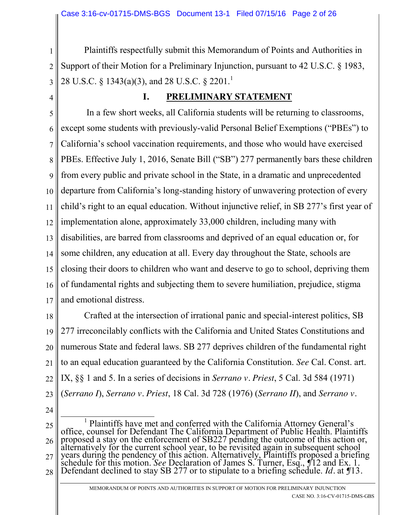1 2 3 Plaintiffs respectfully submit this Memorandum of Points and Authorities in Support of their Motion for a Preliminary Injunction, pursuant to 42 U.S.C. § 1983, 28 U.S.C. § 1343(a)(3), and 28 U.S.C. § 2201.<sup>1</sup>

4

### **I. PRELIMINARY STATEMENT**

5 6 7 8 9 10 11 12 13 14 15 16 17 In a few short weeks, all California students will be returning to classrooms, except some students with previously-valid Personal Belief Exemptions ("PBEs") to California's school vaccination requirements, and those who would have exercised PBEs. Effective July 1, 2016, Senate Bill ("SB") 277 permanently bars these children from every public and private school in the State, in a dramatic and unprecedented departure from California's long-standing history of unwavering protection of every child's right to an equal education. Without injunctive relief, in SB 277's first year of implementation alone, approximately 33,000 children, including many with disabilities, are barred from classrooms and deprived of an equal education or, for some children, any education at all. Every day throughout the State, schools are closing their doors to children who want and deserve to go to school, depriving them of fundamental rights and subjecting them to severe humiliation, prejudice, stigma and emotional distress.

18 19 20 21 22 23 Crafted at the intersection of irrational panic and special-interest politics, SB 277 irreconcilably conflicts with the California and United States Constitutions and numerous State and federal laws. SB 277 deprives children of the fundamental right to an equal education guaranteed by the California Constitution. *See* Cal. Const. art. IX, §§ 1 and 5. In a series of decisions in *Serrano v. Priest*, 5 Cal. 3d 584 (1971) (*Serrano I*), *Serrano v. Priest*, 18 Cal. 3d 728 (1976) (*Serrano II*), and *Serrano v.* 

24

25 26 27 28 <sup>1</sup> Plaintiffs have met and conferred with the California Attorney General's office, counsel for Defendant The California Department of Public Health. Plaintiffs proposed a stay on the enforcement of SB227 pending the outcome of this action or, alternatively for the current school year, to be revisited again in subsequent school years during the pendency of this action. Alternatively, Plaintiffs proposed a briefing schedule for this motion. *See* Declaration of James S. Turner, Esq., *¶*12 and Ex. 1. Defendant declined to stay SB 277 or to stipulate to a briefing schedule. *Id.* at *¶*13*.*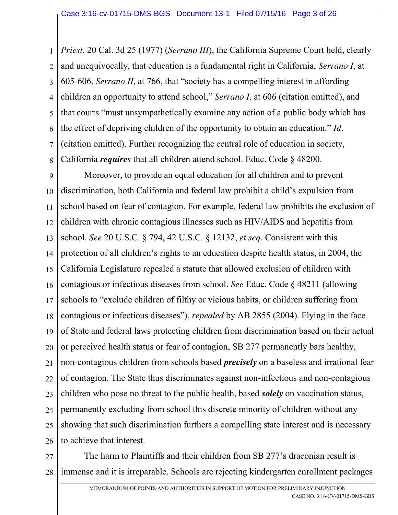1 2 3 4 5 6 7 8 *Priest*, 20 Cal. 3d 25 (1977) (*Serrano III*), the California Supreme Court held, clearly and unequivocally, that education is a fundamental right in California, *Serrano I,* at 605-606, *Serrano II,* at 766, that "society has a compelling interest in affording children an opportunity to attend school," *Serrano I,* at 606 (citation omitted), and that courts "must unsympathetically examine any action of a public body which has the effect of depriving children of the opportunity to obtain an education." *Id.*  (citation omitted). Further recognizing the central role of education in society, California *requires* that all children attend school. Educ. Code § 48200.

9 10 11 12 13 14 15 16 17 18 19 20 21 22 23 24 25 26 Moreover, to provide an equal education for all children and to prevent discrimination, both California and federal law prohibit a child's expulsion from school based on fear of contagion. For example, federal law prohibits the exclusion of children with chronic contagious illnesses such as HIV/AIDS and hepatitis from school. *See* 20 U.S.C. § 794, 42 U.S.C. § 12132, *et seq*. Consistent with this protection of all children's rights to an education despite health status, in 2004, the California Legislature repealed a statute that allowed exclusion of children with contagious or infectious diseases from school. *See* Educ. Code § 48211 (allowing schools to "exclude children of filthy or vicious habits, or children suffering from contagious or infectious diseases"), *repealed* by AB 2855 (2004). Flying in the face of State and federal laws protecting children from discrimination based on their actual or perceived health status or fear of contagion, SB 277 permanently bars healthy, non-contagious children from schools based *precisely* on a baseless and irrational fear of contagion. The State thus discriminates against non-infectious and non-contagious children who pose no threat to the public health, based *solely* on vaccination status, permanently excluding from school this discrete minority of children without any showing that such discrimination furthers a compelling state interest and is necessary to achieve that interest.

27 28 The harm to Plaintiffs and their children from SB 277's draconian result is immense and it is irreparable. Schools are rejecting kindergarten enrollment packages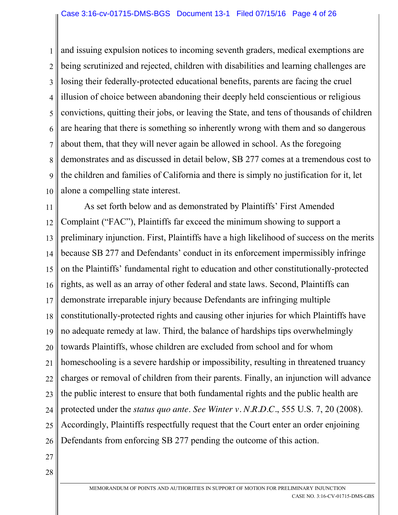#### Case 3:16-cv-01715-DMS-BGS Document 13-1 Filed 07/15/16 Page 4 of 26

1 2 3 4 5 6 7 8 9 10 and issuing expulsion notices to incoming seventh graders, medical exemptions are being scrutinized and rejected, children with disabilities and learning challenges are losing their federally-protected educational benefits, parents are facing the cruel illusion of choice between abandoning their deeply held conscientious or religious convictions, quitting their jobs, or leaving the State, and tens of thousands of children are hearing that there is something so inherently wrong with them and so dangerous about them, that they will never again be allowed in school. As the foregoing demonstrates and as discussed in detail below, SB 277 comes at a tremendous cost to the children and families of California and there is simply no justification for it, let alone a compelling state interest.

11 12 13 14 15 16 17 18 19 20 21 22 23 24 25 26 As set forth below and as demonstrated by Plaintiffs' First Amended Complaint ("FAC"), Plaintiffs far exceed the minimum showing to support a preliminary injunction. First, Plaintiffs have a high likelihood of success on the merits because SB 277 and Defendants' conduct in its enforcement impermissibly infringe on the Plaintiffs' fundamental right to education and other constitutionally-protected rights, as well as an array of other federal and state laws. Second, Plaintiffs can demonstrate irreparable injury because Defendants are infringing multiple constitutionally-protected rights and causing other injuries for which Plaintiffs have no adequate remedy at law. Third, the balance of hardships tips overwhelmingly towards Plaintiffs, whose children are excluded from school and for whom homeschooling is a severe hardship or impossibility, resulting in threatened truancy charges or removal of children from their parents. Finally, an injunction will advance the public interest to ensure that both fundamental rights and the public health are protected under the *status quo ante*. *See Winter v. N.R.D.C.*, 555 U.S. 7, 20 (2008). Accordingly, Plaintiffs respectfully request that the Court enter an order enjoining Defendants from enforcing SB 277 pending the outcome of this action.

- 27
- 28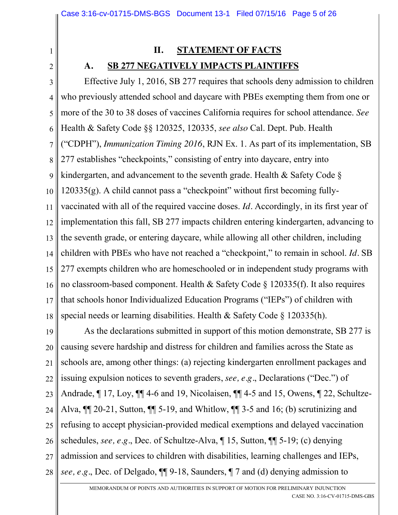## **II. STATEMENT OF FACTS**

#### **A. SB 277 NEGATIVELY IMPACTS PLAINTIFFS**

1

2

3 4 5 6 7 8 9 10 11 12 13 14 15 16 17 18 Effective July 1, 2016, SB 277 requires that schools deny admission to children who previously attended school and daycare with PBEs exempting them from one or more of the 30 to 38 doses of vaccines California requires for school attendance. *See*  Health & Safety Code §§ 120325, 120335, *see also* Cal. Dept. Pub. Health ("CDPH"), *Immunization Timing 2016*, RJN Ex. 1. As part of its implementation, SB 277 establishes "checkpoints," consisting of entry into daycare, entry into kindergarten, and advancement to the seventh grade. Health & Safety Code § 120335(g). A child cannot pass a "checkpoint" without first becoming fullyvaccinated with all of the required vaccine doses. *Id.* Accordingly, in its first year of implementation this fall, SB 277 impacts children entering kindergarten, advancing to the seventh grade, or entering daycare, while allowing all other children, including children with PBEs who have not reached a "checkpoint," to remain in school. *Id.* SB 277 exempts children who are homeschooled or in independent study programs with no classroom-based component. Health & Safety Code § 120335(f). It also requires that schools honor Individualized Education Programs ("IEPs") of children with special needs or learning disabilities. Health & Safety Code § 120335(h).

19 20 21 22 23 24 25 26 27 28 As the declarations submitted in support of this motion demonstrate, SB 277 is causing severe hardship and distress for children and families across the State as schools are, among other things: (a) rejecting kindergarten enrollment packages and issuing expulsion notices to seventh graders, *see, e.g.*, Declarations ("Dec.") of Andrade, ¶ 17, Loy, ¶¶ 4-6 and 19, Nicolaisen, ¶¶ 4-5 and 15, Owens, ¶ 22, Schultze-Alva,  $\P$  20-21, Sutton,  $\P$  5-19, and Whitlow,  $\P$  3-5 and 16; (b) scrutinizing and refusing to accept physician-provided medical exemptions and delayed vaccination schedules, *see, e.g.*, Dec. of Schultze-Alva, ¶ 15, Sutton, ¶¶ 5-19; (c) denying admission and services to children with disabilities, learning challenges and IEPs, *see, e.g.*, Dec. of Delgado, ¶¶ 9-18, Saunders, ¶ 7 and (d) denying admission to

> MEMORANDUM OF POINTS AND AUTHORITIES IN SUPPORT OF MOTION FOR PRELIMINARY INJUNCTION CASE NO. 3:16-CV-01715-DMS-GBS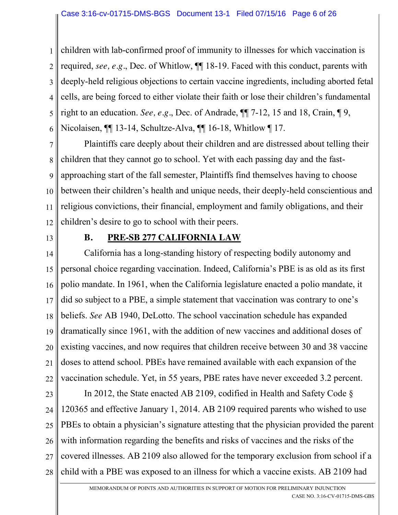1 2 3 4 5 6 children with lab-confirmed proof of immunity to illnesses for which vaccination is required, *see, e.g.*, Dec. of Whitlow, ¶¶ 18-19. Faced with this conduct, parents with deeply-held religious objections to certain vaccine ingredients, including aborted fetal cells, are being forced to either violate their faith or lose their children's fundamental right to an education. *See, e.g.*, Dec. of Andrade, ¶¶ 7-12, 15 and 18, Crain, ¶ 9, Nicolaisen, ¶¶ 13-14, Schultze-Alva, ¶¶ 16-18, Whitlow ¶ 17.

7 8 9 10 11 12 Plaintiffs care deeply about their children and are distressed about telling their children that they cannot go to school. Yet with each passing day and the fastapproaching start of the fall semester, Plaintiffs find themselves having to choose between their children's health and unique needs, their deeply-held conscientious and religious convictions, their financial, employment and family obligations, and their children's desire to go to school with their peers.

13

# **B. PRE-SB 277 CALIFORNIA LAW**

14 15 16 17 18 19 20 21 22 California has a long-standing history of respecting bodily autonomy and personal choice regarding vaccination. Indeed, California's PBE is as old as its first polio mandate. In 1961, when the California legislature enacted a polio mandate, it did so subject to a PBE, a simple statement that vaccination was contrary to one's beliefs. *See* AB 1940, DeLotto. The school vaccination schedule has expanded dramatically since 1961, with the addition of new vaccines and additional doses of existing vaccines, and now requires that children receive between 30 and 38 vaccine doses to attend school. PBEs have remained available with each expansion of the vaccination schedule. Yet, in 55 years, PBE rates have never exceeded 3.2 percent.

23 24 25 26 27 28 In 2012, the State enacted AB 2109, codified in Health and Safety Code § 120365 and effective January 1, 2014. AB 2109 required parents who wished to use PBEs to obtain a physician's signature attesting that the physician provided the parent with information regarding the benefits and risks of vaccines and the risks of the covered illnesses. AB 2109 also allowed for the temporary exclusion from school if a child with a PBE was exposed to an illness for which a vaccine exists. AB 2109 had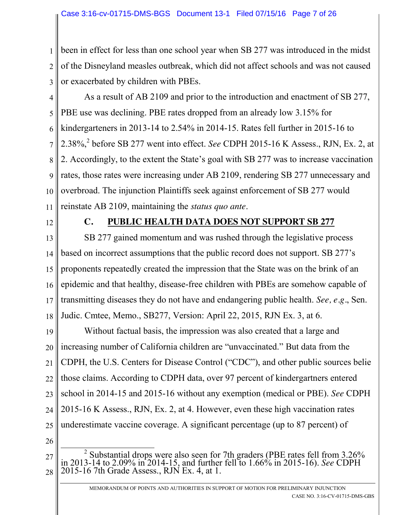1 2 3 been in effect for less than one school year when SB 277 was introduced in the midst of the Disneyland measles outbreak, which did not affect schools and was not caused or exacerbated by children with PBEs.

- 4 5 6 7 8 9 10 11 As a result of AB 2109 and prior to the introduction and enactment of SB 277, PBE use was declining. PBE rates dropped from an already low 3.15% for kindergarteners in 2013-14 to 2.54% in 2014-15. Rates fell further in 2015-16 to 2.38%, <sup>2</sup> before SB 277 went into effect. *See* CDPH 2015-16 K Assess., RJN, Ex. 2, at 2. Accordingly, to the extent the State's goal with SB 277 was to increase vaccination rates, those rates were increasing under AB 2109, rendering SB 277 unnecessary and overbroad. The injunction Plaintiffs seek against enforcement of SB 277 would reinstate AB 2109, maintaining the *status quo ante*.
- 12

## **C. PUBLIC HEALTH DATA DOES NOT SUPPORT SB 277**

13 14 15 16 17 18 SB 277 gained momentum and was rushed through the legislative process based on incorrect assumptions that the public record does not support. SB 277's proponents repeatedly created the impression that the State was on the brink of an epidemic and that healthy, disease-free children with PBEs are somehow capable of transmitting diseases they do not have and endangering public health. *See, e.g.*, Sen. Judic. Cmtee, Memo., SB277, Version: April 22, 2015, RJN Ex. 3, at 6.

19 20 21 22 23 24 25 Without factual basis, the impression was also created that a large and increasing number of California children are "unvaccinated." But data from the CDPH, the U.S. Centers for Disease Control ("CDC"), and other public sources belie those claims. According to CDPH data, over 97 percent of kindergartners entered school in 2014-15 and 2015-16 without any exemption (medical or PBE). *See* CDPH 2015-16 K Assess., RJN, Ex. 2, at 4. However, even these high vaccination rates underestimate vaccine coverage. A significant percentage (up to 87 percent) of

- 26
- 27 28 <sup>2</sup> Substantial drops were also seen for 7th graders (PBE rates fell from 3.26% in 2013-14 to 2.09% in 2014-15, and further fell to 1.66% in 2015-16). *See* CDPH 2015-16 7th Grade Assess., RJN Ex. 4, at 1.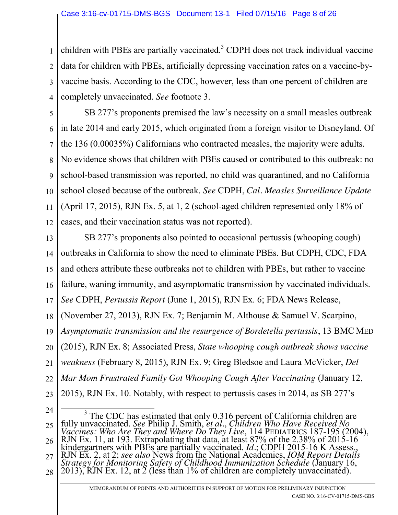1 2 3 4 children with PBEs are partially vaccinated.<sup>3</sup> CDPH does not track individual vaccine data for children with PBEs, artificially depressing vaccination rates on a vaccine-byvaccine basis. According to the CDC, however, less than one percent of children are completely unvaccinated. *See* footnote 3.

5 6 7 8 9 10 11 12 SB 277's proponents premised the law's necessity on a small measles outbreak in late 2014 and early 2015, which originated from a foreign visitor to Disneyland. Of the 136 (0.00035%) Californians who contracted measles, the majority were adults. No evidence shows that children with PBEs caused or contributed to this outbreak: no school-based transmission was reported, no child was quarantined, and no California school closed because of the outbreak. *See* CDPH, *Cal. Measles Surveillance Update* (April 17, 2015), RJN Ex. 5, at 1, 2 (school-aged children represented only 18% of cases, and their vaccination status was not reported).

13 14 15 16 17 18 19 20 21 22 SB 277's proponents also pointed to occasional pertussis (whooping cough) outbreaks in California to show the need to eliminate PBEs. But CDPH, CDC, FDA and others attribute these outbreaks not to children with PBEs, but rather to vaccine failure, waning immunity, and asymptomatic transmission by vaccinated individuals. *See* CDPH, *Pertussis Report* (June 1, 2015), RJN Ex. 6; FDA News Release, (November 27, 2013), RJN Ex. 7; Benjamin M. Althouse & Samuel V. Scarpino, *Asymptomatic transmission and the resurgence of Bordetella pertussis*, 13 BMC MED (2015), RJN Ex. 8; Associated Press, *State whooping cough outbreak shows vaccine weakness* (February 8, 2015), RJN Ex. 9; Greg Bledsoe and Laura McVicker, *Del Mar Mom Frustrated Family Got Whooping Cough After Vaccinating* (January 12,

23 2015), RJN Ex. 10. Notably, with respect to pertussis cases in 2014, as SB 277's

<sup>24</sup> 25 26 27 28 <sup>3</sup> The CDC has estimated that only 0.316 percent of California children are fully unvaccinated. *See* Philip J. Smith, *et al.*, *Children Who Have Received No Vaccines: Who Are They and Where Do They Live*, 114 PEDIATRICS 187-195 (2004), RJN Ex. 11, at 193. Extrapolating that data, at least 87% of the 2.38% of 2015-16 kindergartners with PBEs are partially vaccinated. *Id.*; CDPH 2015-16 K Assess., RJN Ex. 2, at 2; see also News from the National Academies, *IOM Report Details Strategy for Monitoring Safety of Childhood Immunization Schedule* (January 16, 2013), RJN Ex. 12, at 2 (less than 1% of children are complete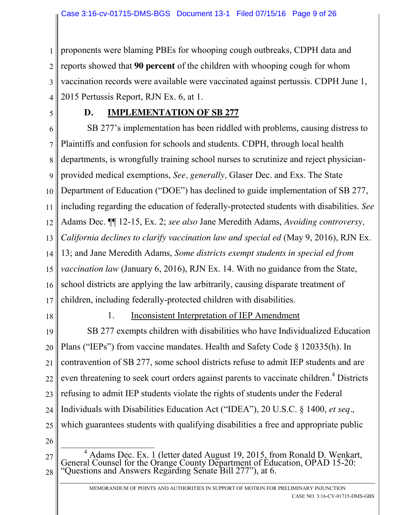1 2 3 4 proponents were blaming PBEs for whooping cough outbreaks, CDPH data and reports showed that **90 percent** of the children with whooping cough for whom vaccination records were available were vaccinated against pertussis. CDPH June 1, 2015 Pertussis Report, RJN Ex. 6, at 1.

5

## **D. IMPLEMENTATION OF SB 277**

6 7 8 9 10 11 12 13 14 15 16 17 SB 277's implementation has been riddled with problems, causing distress to Plaintiffs and confusion for schools and students. CDPH, through local health departments, is wrongfully training school nurses to scrutinize and reject physicianprovided medical exemptions, *See, generally,* Glaser Dec. and Exs. The State Department of Education ("DOE") has declined to guide implementation of SB 277, including regarding the education of federally-protected students with disabilities. *See*  Adams Dec. ¶¶ 12-15, Ex. 2; *see also* Jane Meredith Adams, *Avoiding controversy, California declines to clarify vaccination law and special ed* (May 9, 2016), RJN Ex. 13; and Jane Meredith Adams, *Some districts exempt students in special ed from vaccination law* (January 6, 2016), RJN Ex. 14. With no guidance from the State, school districts are applying the law arbitrarily, causing disparate treatment of children, including federally-protected children with disabilities.

18

### 1. Inconsistent Interpretation of IEP Amendment

19 20 21 22 23 24 25 SB 277 exempts children with disabilities who have Individualized Education Plans ("IEPs") from vaccine mandates. Health and Safety Code § 120335(h). In contravention of SB 277, some school districts refuse to admit IEP students and are even threatening to seek court orders against parents to vaccinate children.<sup>4</sup> Districts refusing to admit IEP students violate the rights of students under the Federal Individuals with Disabilities Education Act ("IDEA"), 20 U.S.C. § 1400, *et seq.*, which guarantees students with qualifying disabilities a free and appropriate public

- 26
- 27 28 <sup>4</sup> Adams Dec. Ex. 1 (letter dated August 19, 2015, from Ronald D. Wenkart, General Counsel for the Orange County Department of Education, OPAD 15-20: "Questions and Answers Regarding Senate Bill 277"), at 6.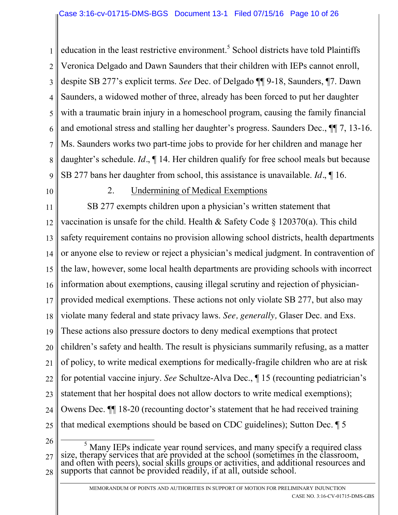1 2 3 4 5 6 7 8 9 education in the least restrictive environment.<sup>5</sup> School districts have told Plaintiffs Veronica Delgado and Dawn Saunders that their children with IEPs cannot enroll, despite SB 277's explicit terms. *See* Dec. of Delgado ¶¶ 9-18, Saunders, ¶7. Dawn Saunders, a widowed mother of three, already has been forced to put her daughter with a traumatic brain injury in a homeschool program, causing the family financial and emotional stress and stalling her daughter's progress. Saunders Dec., ¶¶ 7, 13-16. Ms. Saunders works two part-time jobs to provide for her children and manage her daughter's schedule. *Id.*, ¶ 14. Her children qualify for free school meals but because SB 277 bans her daughter from school, this assistance is unavailable. *Id.*, ¶ 16.

10

#### 2. Undermining of Medical Exemptions

11 12 13 14 15 16 17 18 19 20 21 22 23 24 25 SB 277 exempts children upon a physician's written statement that vaccination is unsafe for the child. Health  $\&$  Safety Code  $\S$  120370(a). This child safety requirement contains no provision allowing school districts, health departments or anyone else to review or reject a physician's medical judgment. In contravention of the law, however, some local health departments are providing schools with incorrect information about exemptions, causing illegal scrutiny and rejection of physicianprovided medical exemptions. These actions not only violate SB 277, but also may violate many federal and state privacy laws. *See, generally,* Glaser Dec. and Exs. These actions also pressure doctors to deny medical exemptions that protect children's safety and health. The result is physicians summarily refusing, as a matter of policy, to write medical exemptions for medically-fragile children who are at risk for potential vaccine injury. *See* Schultze-Alva Dec., ¶ 15 (recounting pediatrician's statement that her hospital does not allow doctors to write medical exemptions); Owens Dec. ¶¶ 18-20 (recounting doctor's statement that he had received training that medical exemptions should be based on CDC guidelines); Sutton Dec. ¶ 5

26

27 28  $\frac{5}{5}$  Many IEPs indicate year round services, and many specify a required class size, therapy services that are provided at the school (sometimes in the classroom, and often with peers), social skills groups or activities, and additional resources and supports that cannot be provided readily, if at all, outside school.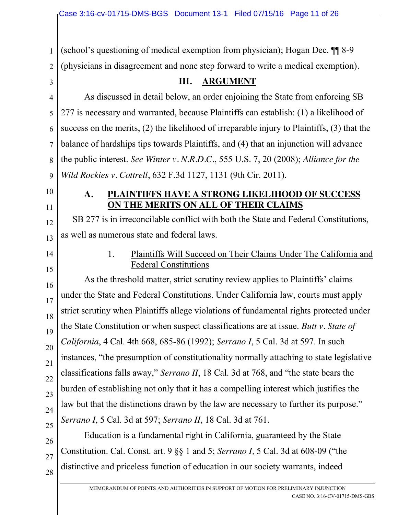(school's questioning of medical exemption from physician); Hogan Dec. ¶¶ 8-9 (physicians in disagreement and none step forward to write a medical exemption).

3

1

2

## **III. ARGUMENT**

4 5 6 7 8 9 As discussed in detail below, an order enjoining the State from enforcing SB 277 is necessary and warranted, because Plaintiffs can establish: (1) a likelihood of success on the merits, (2) the likelihood of irreparable injury to Plaintiffs, (3) that the balance of hardships tips towards Plaintiffs, and (4) that an injunction will advance the public interest. *See Winter v. N.R.D.C.*, 555 U.S. 7, 20 (2008); *Alliance for the Wild Rockies v. Cottrell*, 632 F.3d 1127, 1131 (9th Cir. 2011).

- 10
- 11

#### **A. PLAINTIFFS HAVE A STRONG LIKELIHOOD OF SUCCESS ON THE MERITS ON ALL OF THEIR CLAIMS**

12 SB 277 is in irreconcilable conflict with both the State and Federal Constitutions, as well as numerous state and federal laws.

14 15

26

27

28

13

## 1. Plaintiffs Will Succeed on Their Claims Under The California and Federal Constitutions

16 17 18 19 20 21 22 23 24 25 As the threshold matter, strict scrutiny review applies to Plaintiffs' claims under the State and Federal Constitutions. Under California law, courts must apply strict scrutiny when Plaintiffs allege violations of fundamental rights protected under the State Constitution or when suspect classifications are at issue. *Butt v. State of California*, 4 Cal. 4th 668, 685-86 (1992); *Serrano I*, 5 Cal. 3d at 597. In such instances, "the presumption of constitutionality normally attaching to state legislative classifications falls away," *Serrano II*, 18 Cal. 3d at 768, and "the state bears the burden of establishing not only that it has a compelling interest which justifies the law but that the distinctions drawn by the law are necessary to further its purpose." *Serrano I*, 5 Cal. 3d at 597; *Serrano II*, 18 Cal. 3d at 761.

Education is a fundamental right in California, guaranteed by the State Constitution. Cal. Const. art. 9 §§ 1 and 5; *Serrano I,* 5 Cal. 3d at 608-09 ("the distinctive and priceless function of education in our society warrants, indeed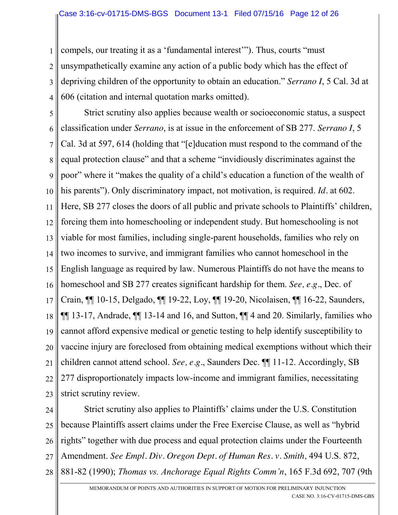1 2 3 4 compels, our treating it as a 'fundamental interest'"). Thus, courts "must unsympathetically examine any action of a public body which has the effect of depriving children of the opportunity to obtain an education." *Serrano I*, 5 Cal. 3d at 606 (citation and internal quotation marks omitted).

5 6 7 8 9 10 11 12 13 14 15 16 17 18 19 20 21 22 23 Strict scrutiny also applies because wealth or socioeconomic status, a suspect classification under *Serrano*, is at issue in the enforcement of SB 277. *Serrano I*, 5 Cal. 3d at 597, 614 (holding that "[e]ducation must respond to the command of the equal protection clause" and that a scheme "invidiously discriminates against the poor" where it "makes the quality of a child's education a function of the wealth of his parents")*.* Only discriminatory impact, not motivation, is required. *Id.* at 602. Here, SB 277 closes the doors of all public and private schools to Plaintiffs' children, forcing them into homeschooling or independent study. But homeschooling is not viable for most families, including single-parent households, families who rely on two incomes to survive, and immigrant families who cannot homeschool in the English language as required by law. Numerous Plaintiffs do not have the means to homeschool and SB 277 creates significant hardship for them. *See, e.g.*, Dec. of Crain, ¶¶ 10-15, Delgado, ¶¶ 19-22, Loy, ¶¶ 19-20, Nicolaisen, ¶¶ 16-22, Saunders, ¶¶ 13-17, Andrade, ¶¶ 13-14 and 16, and Sutton, ¶¶ 4 and 20. Similarly, families who cannot afford expensive medical or genetic testing to help identify susceptibility to vaccine injury are foreclosed from obtaining medical exemptions without which their children cannot attend school. *See, e.g.*, Saunders Dec. ¶¶ 11-12. Accordingly, SB 277 disproportionately impacts low-income and immigrant families, necessitating strict scrutiny review.

24 25 26 27 28 Strict scrutiny also applies to Plaintiffs' claims under the U.S. Constitution because Plaintiffs assert claims under the Free Exercise Clause, as well as "hybrid rights" together with due process and equal protection claims under the Fourteenth Amendment. *See Empl. Div. Oregon Dept. of Human Res. v. Smith,* 494 U.S. 872, 881-82 (1990); *Thomas vs. Anchorage Equal Rights Comm'n*, 165 F.3d 692, 707 (9th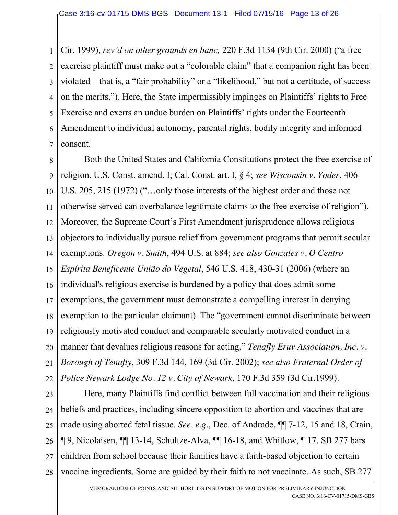1 2 3 4 5 6 7 Cir. 1999), *rev'd on other grounds en banc,* 220 F.3d 1134 (9th Cir. 2000) ("a free exercise plaintiff must make out a "colorable claim" that a companion right has been violated—that is, a "fair probability" or a "likelihood," but not a certitude, of success on the merits."). Here, the State impermissibly impinges on Plaintiffs' rights to Free Exercise and exerts an undue burden on Plaintiffs' rights under the Fourteenth Amendment to individual autonomy, parental rights, bodily integrity and informed consent.

8 9 10 11 12 13 14 15 16 17 18 19 20 21 22 Both the United States and California Constitutions protect the free exercise of religion. U.S. Const. amend. I; Cal. Const. art. I, § 4; *see Wisconsin v. Yoder*, 406 U.S. 205, 215 (1972) ("…only those interests of the highest order and those not otherwise served can overbalance legitimate claims to the free exercise of religion"). Moreover, the Supreme Court's First Amendment jurisprudence allows religious objectors to individually pursue relief from government programs that permit secular exemptions. *Oregon v. Smith*, 494 U.S. at 884; *see also Gonzales v. O Centro Espírita Beneficente União do Vegetal*, 546 U.S. 418, 430-31 (2006) (where an individual's religious exercise is burdened by a policy that does admit some exemptions, the government must demonstrate a compelling interest in denying exemption to the particular claimant). The "government cannot discriminate between religiously motivated conduct and comparable secularly motivated conduct in a manner that devalues religious reasons for acting." *Tenafly Eruv Association, Inc. v. Borough of Tenafly*, 309 F.3d 144, 169 (3d Cir. 2002); *see also Fraternal Order of Police Newark Lodge No. 12 v. City of Newark,* 170 F.3d 359 (3d Cir.1999).

23 24 25 26 27 28 Here, many Plaintiffs find conflict between full vaccination and their religious beliefs and practices, including sincere opposition to abortion and vaccines that are made using aborted fetal tissue. *See, e.g.*, Dec. of Andrade, ¶¶ 7-12, 15 and 18, Crain, ¶ 9, Nicolaisen, ¶¶ 13-14, Schultze-Alva, ¶¶ 16-18, and Whitlow, ¶ 17. SB 277 bars children from school because their families have a faith-based objection to certain vaccine ingredients. Some are guided by their faith to not vaccinate. As such, SB 277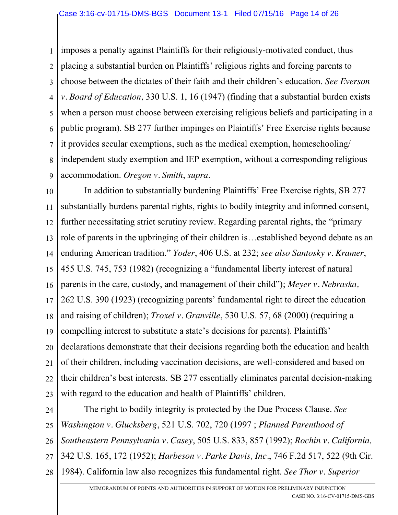#### Case 3:16-cv-01715-DMS-BGS Document 13-1 Filed 07/15/16 Page 14 of 26

1 2 3 4 5 6 7 8 9 imposes a penalty against Plaintiffs for their religiously-motivated conduct, thus placing a substantial burden on Plaintiffs' religious rights and forcing parents to choose between the dictates of their faith and their children's education. *See Everson v. Board of Education,* 330 U.S. 1, 16 (1947) (finding that a substantial burden exists when a person must choose between exercising religious beliefs and participating in a public program). SB 277 further impinges on Plaintiffs' Free Exercise rights because it provides secular exemptions, such as the medical exemption, homeschooling/ independent study exemption and IEP exemption, without a corresponding religious accommodation. *Oregon v. Smith*, *supra*.

10 11 12 13 14 15 16 17 18 19 20 21 22 23 In addition to substantially burdening Plaintiffs' Free Exercise rights, SB 277 substantially burdens parental rights, rights to bodily integrity and informed consent, further necessitating strict scrutiny review. Regarding parental rights, the "primary role of parents in the upbringing of their children is…established beyond debate as an enduring American tradition." *Yoder*, 406 U.S. at 232; *see also Santosky v. Kramer*, 455 U.S. 745, 753 (1982) (recognizing a "fundamental liberty interest of natural parents in the care, custody, and management of their child"); *Meyer v. Nebraska,* 262 U.S. 390 (1923) (recognizing parents' fundamental right to direct the education and raising of children); *Troxel v. Granville*, 530 U.S. 57, 68 (2000) (requiring a compelling interest to substitute a state's decisions for parents). Plaintiffs' declarations demonstrate that their decisions regarding both the education and health of their children, including vaccination decisions, are well-considered and based on their children's best interests. SB 277 essentially eliminates parental decision-making with regard to the education and health of Plaintiffs' children.

24 25 26 27 28 The right to bodily integrity is protected by the Due Process Clause. *See Washington v. Glucksberg*, 521 U.S. 702, 720 (1997 ; *Planned Parenthood of Southeastern Pennsylvania v. Casey*, 505 U.S. 833, 857 (1992); *Rochin v. California,*  342 U.S. 165, 172 (1952); *Harbeson v. Parke Davis, Inc.*, 746 F.2d 517, 522 (9th Cir. 1984). California law also recognizes this fundamental right. *See Thor v. Superior*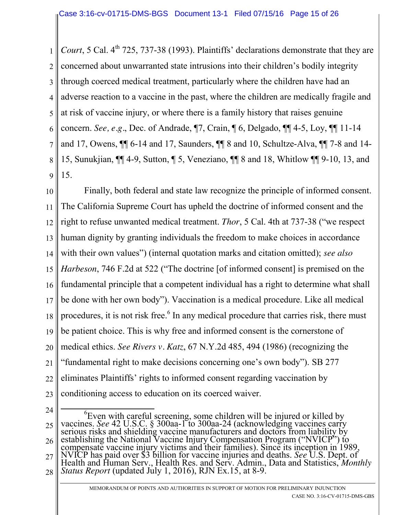1 2 3 4 5 6 7 8 9 *Court*, 5 Cal. 4<sup>th</sup> 725, 737-38 (1993). Plaintiffs' declarations demonstrate that they are concerned about unwarranted state intrusions into their children's bodily integrity through coerced medical treatment, particularly where the children have had an adverse reaction to a vaccine in the past, where the children are medically fragile and at risk of vaccine injury, or where there is a family history that raises genuine concern. *See, e.g.*, Dec. of Andrade, ¶7, Crain, ¶ 6, Delgado, ¶¶ 4-5, Loy, ¶¶ 11-14 and 17, Owens, ¶¶ 6-14 and 17, Saunders, ¶¶ 8 and 10, Schultze-Alva, ¶¶ 7-8 and 14- 15, Sunukjian, ¶¶ 4-9, Sutton, ¶ 5, Veneziano, ¶¶ 8 and 18, Whitlow ¶¶ 9-10, 13, and 15.

10 11 12 13 14 15 16 17 18 19 20 21 22 23 Finally, both federal and state law recognize the principle of informed consent. The California Supreme Court has upheld the doctrine of informed consent and the right to refuse unwanted medical treatment. *Thor*, 5 Cal. 4th at 737-38 ("we respect human dignity by granting individuals the freedom to make choices in accordance with their own values") (internal quotation marks and citation omitted); *see also Harbeson*, 746 F.2d at 522 ("The doctrine [of informed consent] is premised on the fundamental principle that a competent individual has a right to determine what shall be done with her own body"). Vaccination is a medical procedure. Like all medical procedures, it is not risk free.<sup>6</sup> In any medical procedure that carries risk, there must be patient choice. This is why free and informed consent is the cornerstone of medical ethics. *See Rivers v. Katz*, 67 N.Y.2d 485, 494 (1986) (recognizing the "fundamental right to make decisions concerning one's own body"). SB 277 eliminates Plaintiffs' rights to informed consent regarding vaccination by conditioning access to education on its coerced waiver.

<sup>24</sup> 25 26 27 28 <sup>6</sup>Even with careful screening, some children will be injured or killed by vaccines. See 42 U.S.C. § 300aa-1 to 300aa-24 (acknowledging vaccines carry vacemes: see 42 0.3.C. y 500aa-1 to 500aa-24 (acknowledging vacemes carry<br>serious risks and shielding vaccine manufacturers and doctors from liability by<br>establishing the National Vaccine Injury Compensation Program ("NVIC Health and Human Serv., Health Res. and Serv. Admin., Data and Statistics, *Monthly*<br>Status Report (updated July 1, 2016), RJN Ex.15, at 8-9.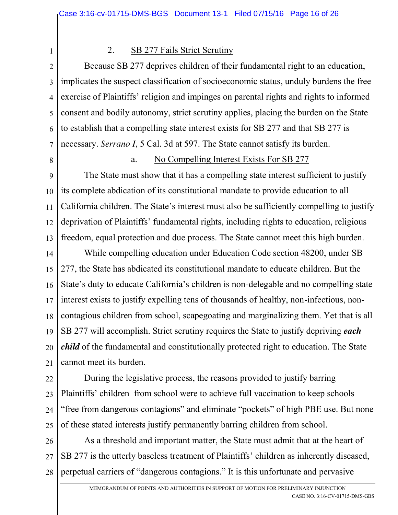#### 2. SB 277 Fails Strict Scrutiny

2 3 4 5 6 7 Because SB 277 deprives children of their fundamental right to an education, implicates the suspect classification of socioeconomic status, unduly burdens the free exercise of Plaintiffs' religion and impinges on parental rights and rights to informed consent and bodily autonomy, strict scrutiny applies, placing the burden on the State to establish that a compelling state interest exists for SB 277 and that SB 277 is necessary. *Serrano I*, 5 Cal. 3d at 597. The State cannot satisfy its burden.

8

1

#### a. No Compelling Interest Exists For SB 277

9 10 11 12 13 The State must show that it has a compelling state interest sufficient to justify its complete abdication of its constitutional mandate to provide education to all California children. The State's interest must also be sufficiently compelling to justify deprivation of Plaintiffs' fundamental rights, including rights to education, religious freedom, equal protection and due process. The State cannot meet this high burden.

14 15 16 17 18 19 20 21 While compelling education under Education Code section 48200, under SB 277, the State has abdicated its constitutional mandate to educate children. But the State's duty to educate California's children is non-delegable and no compelling state interest exists to justify expelling tens of thousands of healthy, non-infectious, noncontagious children from school, scapegoating and marginalizing them. Yet that is all SB 277 will accomplish. Strict scrutiny requires the State to justify depriving *each child* of the fundamental and constitutionally protected right to education. The State cannot meet its burden.

22 23 24 25 During the legislative process, the reasons provided to justify barring Plaintiffs' children from school were to achieve full vaccination to keep schools "free from dangerous contagions" and eliminate "pockets" of high PBE use. But none of these stated interests justify permanently barring children from school.

26 27 28 As a threshold and important matter, the State must admit that at the heart of SB 277 is the utterly baseless treatment of Plaintiffs' children as inherently diseased, perpetual carriers of "dangerous contagions." It is this unfortunate and pervasive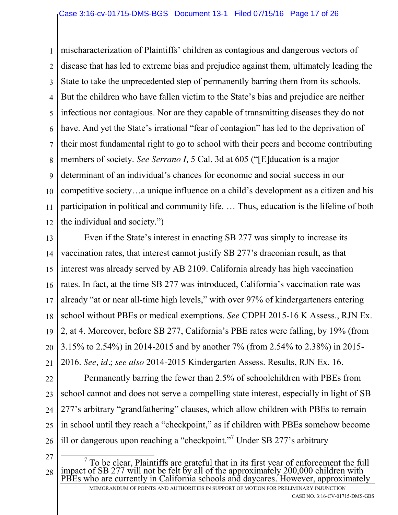#### Case 3:16-cv-01715-DMS-BGS Document 13-1 Filed 07/15/16 Page 17 of 26

1 2 3 4 5 6 7 8 9 10 11 12 mischaracterization of Plaintiffs' children as contagious and dangerous vectors of disease that has led to extreme bias and prejudice against them, ultimately leading the State to take the unprecedented step of permanently barring them from its schools. But the children who have fallen victim to the State's bias and prejudice are neither infectious nor contagious. Nor are they capable of transmitting diseases they do not have. And yet the State's irrational "fear of contagion" has led to the deprivation of their most fundamental right to go to school with their peers and become contributing members of society. *See Serrano I,* 5 Cal. 3d at 605 ("[E]ducation is a major determinant of an individual's chances for economic and social success in our competitive society…a unique influence on a child's development as a citizen and his participation in political and community life. … Thus, education is the lifeline of both the individual and society.")

13 14 15 16 17 18 19 20 21 Even if the State's interest in enacting SB 277 was simply to increase its vaccination rates, that interest cannot justify SB 277's draconian result, as that interest was already served by AB 2109. California already has high vaccination rates. In fact, at the time SB 277 was introduced, California's vaccination rate was already "at or near all-time high levels," with over 97% of kindergarteners entering school without PBEs or medical exemptions. *See* CDPH 2015-16 K Assess., RJN Ex. 2, at 4. Moreover, before SB 277, California's PBE rates were falling, by 19% (from 3.15% to 2.54%) in 2014-2015 and by another 7% (from 2.54% to 2.38%) in 2015- 2016. *See, id.*; *see also* 2014-2015 Kindergarten Assess. Results, RJN Ex. 16.

22 23 24 25 26 Permanently barring the fewer than 2.5% of schoolchildren with PBEs from school cannot and does not serve a compelling state interest, especially in light of SB 277's arbitrary "grandfathering" clauses, which allow children with PBEs to remain in school until they reach a "checkpoint," as if children with PBEs somehow become ill or dangerous upon reaching a "checkpoint."<sup>7</sup> Under SB 277's arbitrary

27

28

<sup>&</sup>lt;sup>7</sup> To be clear, Plaintiffs are grateful that in its first year of enforcement the full impact of SB 277 will not be felt by all of the approximately 200,000 children with PBEs who are currently in California schools and daycares. However, approximately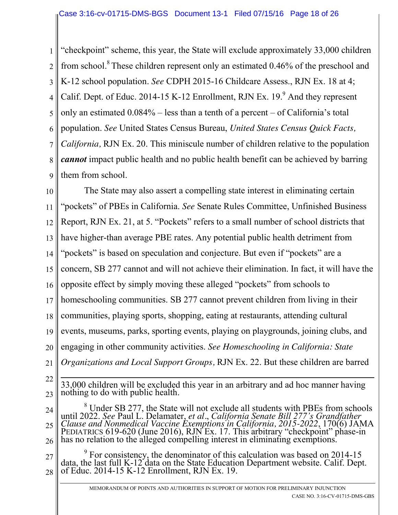1 2 3 4 5 6 7 8 9 "checkpoint" scheme, this year, the State will exclude approximately 33,000 children from school.<sup>8</sup> These children represent only an estimated 0.46% of the preschool and K-12 school population. *See* CDPH 2015-16 Childcare Assess., RJN Ex. 18 at 4; Calif. Dept. of Educ. 2014-15 K-12 Enrollment, RJN Ex.  $19.9$ <sup>9</sup> And they represent only an estimated 0.084% – less than a tenth of a percent – of California's total population. *See* United States Census Bureau, *United States Census Quick Facts, California,* RJN Ex. 20. This miniscule number of children relative to the population *cannot* impact public health and no public health benefit can be achieved by barring them from school.

10 11 12 13 14 15 16 17 18 19 20 21 The State may also assert a compelling state interest in eliminating certain "pockets" of PBEs in California. *See* Senate Rules Committee, Unfinished Business Report, RJN Ex. 21, at 5. "Pockets" refers to a small number of school districts that have higher-than average PBE rates. Any potential public health detriment from "pockets" is based on speculation and conjecture. But even if "pockets" are a concern, SB 277 cannot and will not achieve their elimination. In fact, it will have the opposite effect by simply moving these alleged "pockets" from schools to homeschooling communities. SB 277 cannot prevent children from living in their communities, playing sports, shopping, eating at restaurants, attending cultural events, museums, parks, sporting events, playing on playgrounds, joining clubs, and engaging in other community activities. *See Homeschooling in California: State Organizations and Local Support Groups,* RJN Ex. 22. But these children are barred

22

23

 $\overline{a}$ 33,000 children will be excluded this year in an arbitrary and ad hoc manner having nothing to do with public health.

24 25 26 <sup>8</sup> Under SB 277, the State will not exclude all students with PBEs from schools until 2022. See Paul L. Delamater, et al., California Senate Bill 277's Grandfather Clause and Nonmedical Vaccine Exemptions in California, 2 PEDIATRICS 619-620 (June 2016), RJN Ex. 17. This arbitrary "checkpoint" phase-in has no relation to the alleged compelling interest in eliminating exemptions.

27 28  $9<sup>9</sup>$  For consistency, the denominator of this calculation was based on 2014-15 data, the last full K-12 data on the State Education Department website. Calif. Dept. of Educ. 2014-15 K-12 Enrollment, RJN Ex. 19.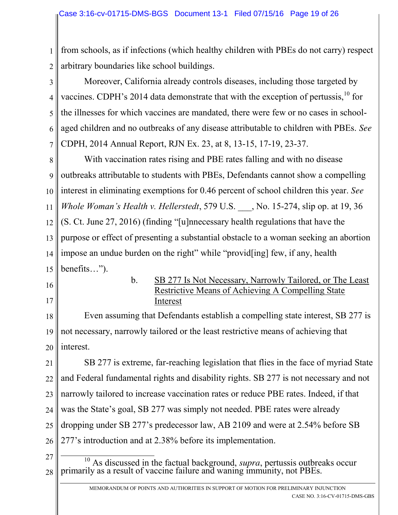1 2 from schools, as if infections (which healthy children with PBEs do not carry) respect arbitrary boundaries like school buildings.

3 4 5 6 7 Moreover, California already controls diseases, including those targeted by vaccines. CDPH's 2014 data demonstrate that with the exception of pertussis,  $^{10}$  for the illnesses for which vaccines are mandated, there were few or no cases in schoolaged children and no outbreaks of any disease attributable to children with PBEs. *See*  CDPH, 2014 Annual Report, RJN Ex. 23, at 8, 13-15, 17-19, 23-37.

8 9 10 11 12 13 14 15 With vaccination rates rising and PBE rates falling and with no disease outbreaks attributable to students with PBEs, Defendants cannot show a compelling interest in eliminating exemptions for 0.46 percent of school children this year. *See Whole Woman's Health v. Hellerstedt*, 579 U.S. \_\_\_, No. 15-274, slip op. at 19, 36 (S. Ct. June 27, 2016) (finding "[u]nnecessary health regulations that have the purpose or effect of presenting a substantial obstacle to a woman seeking an abortion impose an undue burden on the right" while "provid [ing] few, if any, health benefits…").

- 16
- 17

b. SB 277 Is Not Necessary, Narrowly Tailored, or The Least Restrictive Means of Achieving A Compelling State Interest

18 19 20 Even assuming that Defendants establish a compelling state interest, SB 277 is not necessary, narrowly tailored or the least restrictive means of achieving that interest.

21 22 23 24 25 26 SB 277 is extreme, far-reaching legislation that flies in the face of myriad State and Federal fundamental rights and disability rights. SB 277 is not necessary and not narrowly tailored to increase vaccination rates or reduce PBE rates. Indeed, if that was the State's goal, SB 277 was simply not needed. PBE rates were already dropping under SB 277's predecessor law, AB 2109 and were at 2.54% before SB 277's introduction and at 2.38% before its implementation.

- 27
- 28 <sup>10</sup> As discussed in the factual background, *supra*, pertussis outbreaks occur primarily as a result of vaccine failure and waning immunity, not PBEs.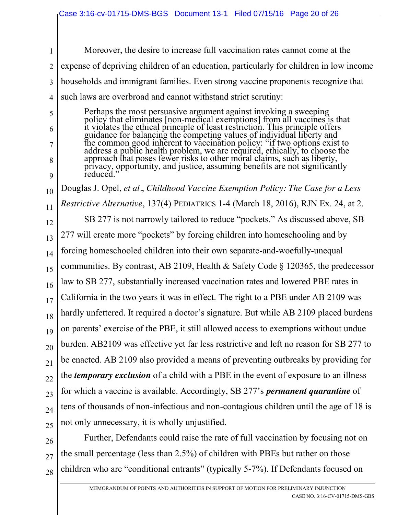1 2 3 4 Moreover, the desire to increase full vaccination rates cannot come at the expense of depriving children of an education, particularly for children in low income households and immigrant families. Even strong vaccine proponents recognize that such laws are overbroad and cannot withstand strict scrutiny:

Perhaps the most persuasive argument against invoking a sweeping policy that eliminates [non-medical exemptions] from all vaccines is that it violates the ethical principle of least restriction. This principle offers guidance for balancing the competing values of individual liberty and the common good inherent to vaccination policy: "if two options exist to address a public health problem, we are required, ethically, to choose the approach that poses fewer risks to other moral claims, such as liberty, privacy, opportunity, and justice, assuming benefits are not significantly reduced.

5

6

7

8

9

10 11 12 13 14 15 16 17 18 19 20 21 22 23 24 25 Douglas J. Opel, *et al.*, *Childhood Vaccine Exemption Policy: The Case for a Less Restrictive Alternative*, 137(4) PEDIATRICS 1-4 (March 18, 2016), RJN Ex. 24, at 2. SB 277 is not narrowly tailored to reduce "pockets." As discussed above, SB 277 will create more "pockets" by forcing children into homeschooling and by forcing homeschooled children into their own separate-and-woefully-unequal communities. By contrast, AB 2109, Health & Safety Code § 120365, the predecessor law to SB 277, substantially increased vaccination rates and lowered PBE rates in California in the two years it was in effect. The right to a PBE under AB 2109 was hardly unfettered. It required a doctor's signature. But while AB 2109 placed burdens on parents' exercise of the PBE, it still allowed access to exemptions without undue burden. AB2109 was effective yet far less restrictive and left no reason for SB 277 to be enacted. AB 2109 also provided a means of preventing outbreaks by providing for the *temporary exclusion* of a child with a PBE in the event of exposure to an illness for which a vaccine is available. Accordingly, SB 277's *permanent quarantine* of tens of thousands of non-infectious and non-contagious children until the age of 18 is not only unnecessary, it is wholly unjustified.

26 27 28 Further, Defendants could raise the rate of full vaccination by focusing not on the small percentage (less than 2.5%) of children with PBEs but rather on those children who are "conditional entrants" (typically 5-7%). If Defendants focused on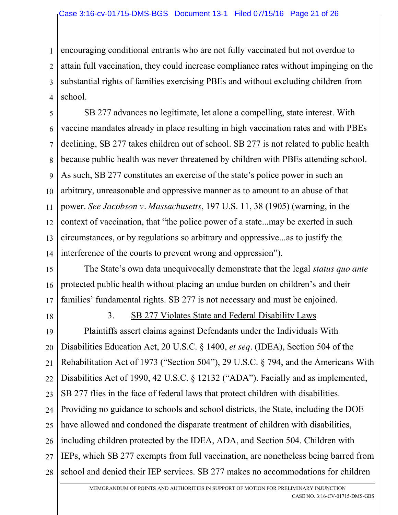1 2 3 4 encouraging conditional entrants who are not fully vaccinated but not overdue to attain full vaccination, they could increase compliance rates without impinging on the substantial rights of families exercising PBEs and without excluding children from school.

5 6 7 8 9 10 11 12 13 14 SB 277 advances no legitimate, let alone a compelling, state interest. With vaccine mandates already in place resulting in high vaccination rates and with PBEs declining, SB 277 takes children out of school. SB 277 is not related to public health because public health was never threatened by children with PBEs attending school. As such, SB 277 constitutes an exercise of the state's police power in such an arbitrary, unreasonable and oppressive manner as to amount to an abuse of that power. *See Jacobson v. Massachusetts*, 197 U.S. 11, 38 (1905) (warning, in the context of vaccination, that "the police power of a state...may be exerted in such circumstances, or by regulations so arbitrary and oppressive...as to justify the interference of the courts to prevent wrong and oppression").

15 16 17 The State's own data unequivocally demonstrate that the legal *status quo ante* protected public health without placing an undue burden on children's and their families' fundamental rights. SB 277 is not necessary and must be enjoined.

18

#### 3. SB 277 Violates State and Federal Disability Laws

19 20 21 22 23 24 25 26 27 28 Plaintiffs assert claims against Defendants under the Individuals With Disabilities Education Act, 20 U.S.C. § 1400, *et seq.* (IDEA), Section 504 of the Rehabilitation Act of 1973 ("Section 504"), 29 U.S.C. § 794, and the Americans With Disabilities Act of 1990, 42 U.S.C. § 12132 ("ADA"). Facially and as implemented, SB 277 flies in the face of federal laws that protect children with disabilities. Providing no guidance to schools and school districts, the State, including the DOE have allowed and condoned the disparate treatment of children with disabilities, including children protected by the IDEA, ADA, and Section 504. Children with IEPs, which SB 277 exempts from full vaccination, are nonetheless being barred from school and denied their IEP services. SB 277 makes no accommodations for children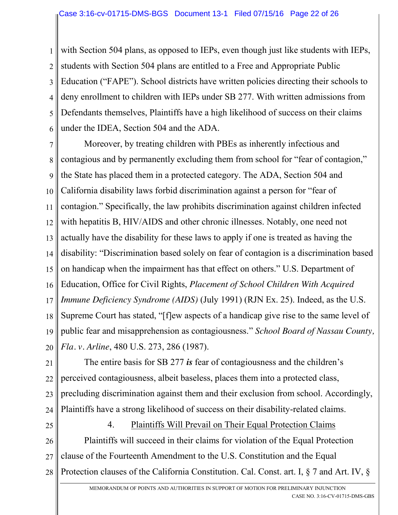1 2 3 4 5 6 with Section 504 plans, as opposed to IEPs, even though just like students with IEPs, students with Section 504 plans are entitled to a Free and Appropriate Public Education ("FAPE"). School districts have written policies directing their schools to deny enrollment to children with IEPs under SB 277. With written admissions from Defendants themselves, Plaintiffs have a high likelihood of success on their claims under the IDEA, Section 504 and the ADA.

7 8 9 10 11 12 13 14 15 16 17 18 19 20 Moreover, by treating children with PBEs as inherently infectious and contagious and by permanently excluding them from school for "fear of contagion," the State has placed them in a protected category. The ADA, Section 504 and California disability laws forbid discrimination against a person for "fear of contagion." Specifically, the law prohibits discrimination against children infected with hepatitis B, HIV/AIDS and other chronic illnesses. Notably, one need not actually have the disability for these laws to apply if one is treated as having the disability: "Discrimination based solely on fear of contagion is a discrimination based on handicap when the impairment has that effect on others." U.S. Department of Education, Office for Civil Rights, *Placement of School Children With Acquired Immune Deficiency Syndrome (AIDS)* (July 1991) (RJN Ex. 25). Indeed, as the U.S. Supreme Court has stated, "[f]ew aspects of a handicap give rise to the same level of public fear and misapprehension as contagiousness." *School Board of Nassau County, Fla. v. Arline*, 480 U.S. 273, 286 (1987).

21 22 23 24 The entire basis for SB 277 *is* fear of contagiousness and the children's perceived contagiousness, albeit baseless, places them into a protected class, precluding discrimination against them and their exclusion from school. Accordingly, Plaintiffs have a strong likelihood of success on their disability-related claims.

25

4. Plaintiffs Will Prevail on Their Equal Protection Claims

26 27 28 Plaintiffs will succeed in their claims for violation of the Equal Protection clause of the Fourteenth Amendment to the U.S. Constitution and the Equal Protection clauses of the California Constitution. Cal. Const. art. I, § 7 and Art. IV, §

> MEMORANDUM OF POINTS AND AUTHORITIES IN SUPPORT OF MOTION FOR PRELIMINARY INJUNCTION CASE NO. 3:16-CV-01715-DMS-GBS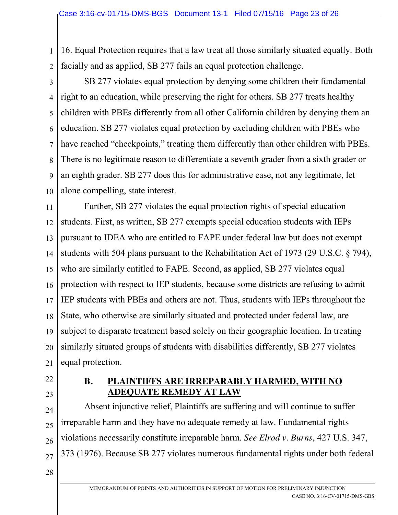1 2 16. Equal Protection requires that a law treat all those similarly situated equally. Both facially and as applied, SB 277 fails an equal protection challenge.

3 4 5 6 7 8 9 10 SB 277 violates equal protection by denying some children their fundamental right to an education, while preserving the right for others. SB 277 treats healthy children with PBEs differently from all other California children by denying them an education. SB 277 violates equal protection by excluding children with PBEs who have reached "checkpoints," treating them differently than other children with PBEs. There is no legitimate reason to differentiate a seventh grader from a sixth grader or an eighth grader. SB 277 does this for administrative ease, not any legitimate, let alone compelling, state interest.

11 12 13 14 15 16 17 18 19 20 21 Further, SB 277 violates the equal protection rights of special education students. First, as written, SB 277 exempts special education students with IEPs pursuant to IDEA who are entitled to FAPE under federal law but does not exempt students with 504 plans pursuant to the Rehabilitation Act of 1973 (29 U.S.C. § 794), who are similarly entitled to FAPE. Second, as applied, SB 277 violates equal protection with respect to IEP students, because some districts are refusing to admit IEP students with PBEs and others are not. Thus, students with IEPs throughout the State, who otherwise are similarly situated and protected under federal law, are subject to disparate treatment based solely on their geographic location. In treating similarly situated groups of students with disabilities differently, SB 277 violates equal protection.

- 22
- 23

#### **B. PLAINTIFFS ARE IRREPARABLY HARMED, WITH NO ADEQUATE REMEDY AT LAW**

24 25 26 27 Absent injunctive relief, Plaintiffs are suffering and will continue to suffer irreparable harm and they have no adequate remedy at law. Fundamental rights violations necessarily constitute irreparable harm. *See Elrod v. Burns*, 427 U.S. 347, 373 (1976). Because SB 277 violates numerous fundamental rights under both federal

28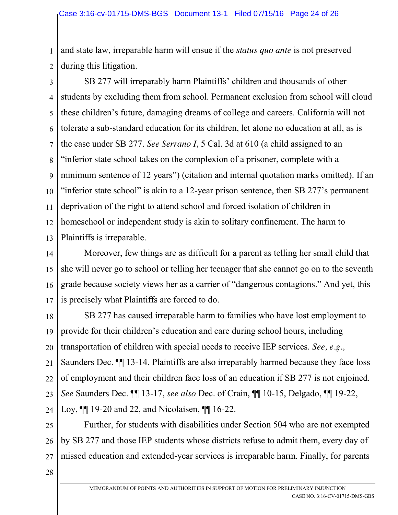1 2 and state law, irreparable harm will ensue if the *status quo ante* is not preserved during this litigation.

3 4 5 6 7 8 9 10 11 12 13 SB 277 will irreparably harm Plaintiffs' children and thousands of other students by excluding them from school. Permanent exclusion from school will cloud these children's future, damaging dreams of college and careers. California will not tolerate a sub-standard education for its children, let alone no education at all, as is the case under SB 277. *See Serrano I,* 5 Cal. 3d at 610 (a child assigned to an "inferior state school takes on the complexion of a prisoner, complete with a minimum sentence of 12 years") (citation and internal quotation marks omitted). If an "inferior state school" is akin to a 12-year prison sentence, then SB 277's permanent deprivation of the right to attend school and forced isolation of children in homeschool or independent study is akin to solitary confinement. The harm to Plaintiffs is irreparable.

14 15 16 17 Moreover, few things are as difficult for a parent as telling her small child that she will never go to school or telling her teenager that she cannot go on to the seventh grade because society views her as a carrier of "dangerous contagions." And yet, this is precisely what Plaintiffs are forced to do.

18 19 20 21 22 23 24 SB 277 has caused irreparable harm to families who have lost employment to provide for their children's education and care during school hours, including transportation of children with special needs to receive IEP services. *See, e.g.,*  Saunders Dec. ¶¶ 13-14. Plaintiffs are also irreparably harmed because they face loss of employment and their children face loss of an education if SB 277 is not enjoined. *See* Saunders Dec. ¶¶ 13-17, *see also* Dec. of Crain, ¶¶ 10-15, Delgado, ¶¶ 19-22, Loy, ¶¶ 19-20 and 22, and Nicolaisen, ¶¶ 16-22.

25 26 27 Further, for students with disabilities under Section 504 who are not exempted by SB 277 and those IEP students whose districts refuse to admit them, every day of missed education and extended-year services is irreparable harm. Finally, for parents

28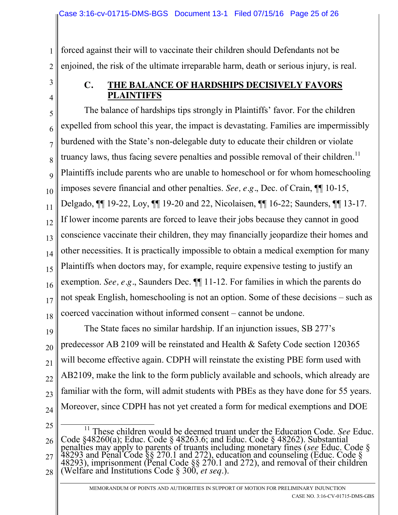1 2 forced against their will to vaccinate their children should Defendants not be enjoined, the risk of the ultimate irreparable harm, death or serious injury, is real.

3

4

## **C. THE BALANCE OF HARDSHIPS DECISIVELY FAVORS PLAINTIFFS**

5 6 7 8 9 10 11 12 13 14 15 16 17 18 The balance of hardships tips strongly in Plaintiffs' favor. For the children expelled from school this year, the impact is devastating. Families are impermissibly burdened with the State's non-delegable duty to educate their children or violate truancy laws, thus facing severe penalties and possible removal of their children.<sup>11</sup> Plaintiffs include parents who are unable to homeschool or for whom homeschooling imposes severe financial and other penalties. *See, e.g.*, Dec. of Crain, ¶¶ 10-15, Delgado, ¶¶ 19-22, Loy, ¶¶ 19-20 and 22, Nicolaisen, ¶¶ 16-22; Saunders, ¶¶ 13-17. If lower income parents are forced to leave their jobs because they cannot in good conscience vaccinate their children, they may financially jeopardize their homes and other necessities. It is practically impossible to obtain a medical exemption for many Plaintiffs when doctors may, for example, require expensive testing to justify an exemption. *See, e.g.*, Saunders Dec. ¶¶ 11-12. For families in which the parents do not speak English, homeschooling is not an option. Some of these decisions – such as coerced vaccination without informed consent – cannot be undone.

19 20 21 22 23 24 The State faces no similar hardship. If an injunction issues, SB 277's predecessor AB 2109 will be reinstated and Health & Safety Code section 120365 will become effective again. CDPH will reinstate the existing PBE form used with AB2109, make the link to the form publicly available and schools, which already are familiar with the form, will admit students with PBEs as they have done for 55 years. Moreover, since CDPH has not yet created a form for medical exemptions and DOE

25

26 27 28 <sup>11</sup> These children would be deemed truant under the Education Code. See Educ. Code §48260(a); Educ. Code § 48263.6; and Educ. Code § 48262). Substantial penalties may apply to parents of truants including monetary fines (see Educ. Code § 48293 and Penal Code §§ 270.1 and 272), education and counsel 48293), imprisonment (Penal Code  $\S$ § 270.1 and 272), and removal of their children (Welfare and Institutions Code § 300, *et seq*.).